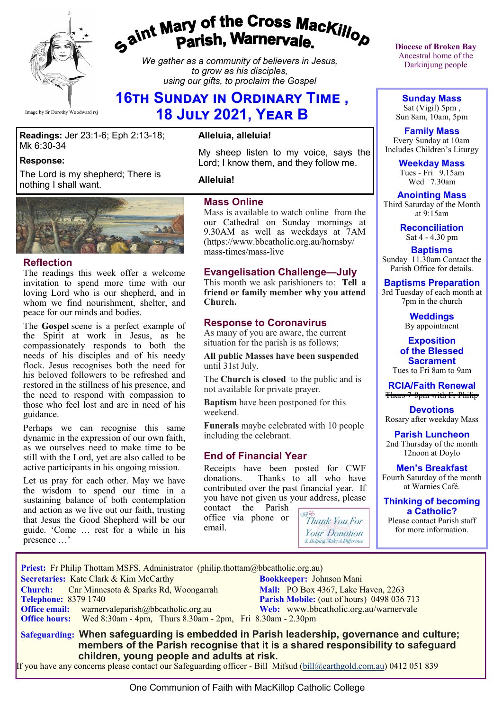

# gaint Mary of the Cross Mackillop<br>Parish, Warnervale.

*We gather as a community of believers in Jesus, to grow as his disciples, using our gifts, to proclaim the Gospel*

# **16TH SUNDAY IN ORDINARY TIME, 18 July 2021, Year B**

**Readings:** Jer 23:1-6; Eph 2:13-18; Mk 6:30-34

#### **Response:**

The Lord is my shepherd; There is nothing I shall want.



#### **Reflection**

The readings this week offer a welcome invitation to spend more time with our loving Lord who is our shepherd, and in whom we find nourishment, shelter, and peace for our minds and bodies.

The **Gospel** scene is a perfect example of the Spirit at work in Jesus, as he compassionately responds to both the needs of his disciples and of his needy flock. Jesus recognises both the need for his beloved followers to be refreshed and restored in the stillness of his presence, and the need to respond with compassion to those who feel lost and are in need of his guidance.

Perhaps we can recognise this same dynamic in the expression of our own faith, as we ourselves need to make time to be still with the Lord, yet are also called to be active participants in his ongoing mission.

Let us pray for each other. May we have the wisdom to spend our time in a sustaining balance of both contemplation and action as we live out our faith, trusting that Jesus the Good Shepherd will be our guide. 'Come … rest for a while in his presence …'

### **Alleluia, alleluia!**

My sheep listen to my voice, says the Lord; I know them, and they follow me.

#### **Alleluia!**

#### **Mass Online**

Mass is available to watch online from the our Cathedral on Sunday mornings at 9.30AM as well as weekdays at 7AM (https://www.bbcatholic.org.au/hornsby/ mass-times/mass-live

## **Evangelisation Challenge—July**

This month we ask parishioners to: **Tell a friend or family member why you attend Church.** 

#### **Response to Coronavirus**

As many of you are aware, the current situation for the parish is as follows;

**All public Masses have been suspended**  until 31st July.

The **Church is closed** to the public and is not available for private prayer.

**Baptism** have been postponed for this weekend.

**Funerals** maybe celebrated with 10 people including the celebrant.

#### **End of Financial Year**

Receipts have been posted for CWF donations. Thanks to all who have contributed over the past financial year. If you have not given us your address, please<br>contact the Parish

contact the office via phone or email.

Thank You For **Your Donation** & Helping Make A Difference

**Diocese of Broken Bay**  Ancestral home of the Darkinjung people

**Sunday Mass** Sat (Vigil) 5pm , Sun 8am, 10am, 5pm

**Family Mass**  Every Sunday at 10am Includes Children's Liturgy

> **Weekday Mass** Tues - Fri 9.15am Wed 7.30am

**Anointing Mass** Third Saturday of the Month at 9:15am

> **Reconciliation** Sat 4 - 4.30 pm

**Baptisms** Sunday 11.30am Contact the Parish Office for details.

**Baptisms Preparation** 3rd Tuesday of each month at

> 7pm in the church **Weddings**

By appointment

**Exposition of the Blessed Sacrament** Tues to Fri 8am to 9am

**RCIA/Faith Renewal**  Thurs 7-8pm with Fr Philip

**Devotions** Rosary after weekday Mass

**Parish Luncheon** 2nd Thursday of the month 12noon at Doylo

**Men's Breakfast** Fourth Saturday of the month at Warnies Café.

**Thinking of becoming a Catholic?**

Please contact Parish staff for more information.

Priest: Fr Philip Thottam MSFS, Administrator (philip.thottam@bbcatholic.org.au)

 **Secretaries:** Kate Clark & Kim McCarthy **Bookkeeper:** Johnson Mani

**Church:** Cnr Minnesota & Sparks Rd, Woongarrah **Mail:** PO Box 4367, Lake Haven, 2263<br> **Telephone:** 8379 1740 **Parish Mobile:** (out of hours) 0498 036 **Office email:** warnervaleparish@bbcatholic.org.au **Web:** [www.bbcatholic.org.au/warnervale](https://www.bbcatholic.org.au/warnervale)

**Parish Mobile:** (out of hours) 0498 036 713  **Office hours:** Wed 8:30am - 4pm, Thurs 8.30am - 2pm, Fri 8.30am - 2.30pm

 **Safeguarding: When safeguarding is embedded in Parish leadership, governance and culture; members of the Parish recognise that it is a shared responsibility to safeguard children, young people and adults at risk.**

If you have any concerns please contact our Safeguarding officer - Bill Mifsud ([bill@earthgold.com.au\)](mailto:bill@earthgold.com.au) 0412 051 839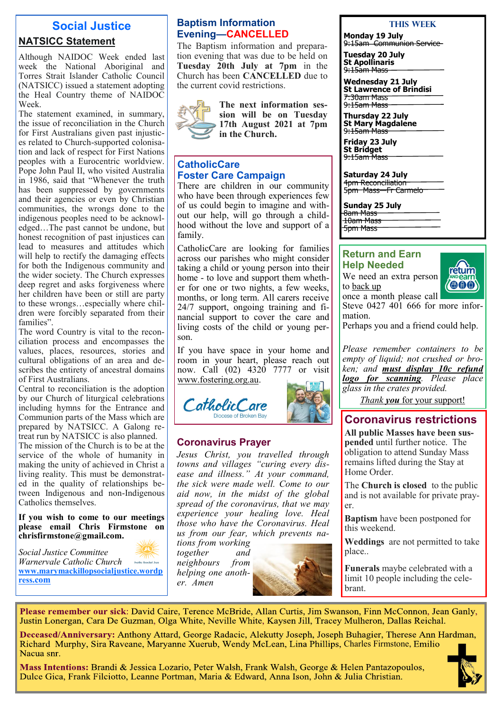## **Social Justice**

#### **NATSICC Statement**

Although NAIDOC Week ended last week the National Aboriginal and Torres Strait Islander Catholic Council (NATSICC) issued a statement adopting the Heal Country theme of NAIDOC Week.

The statement examined, in summary, the issue of reconciliation in the Church for First Australians given past injustices related to Church-supported colonisation and lack of respect for First Nations peoples with a Eurocentric worldview. Pope John Paul II, who visited Australia in 1986, said that "Whenever the truth has been suppressed by governments and their agencies or even by Christian communities, the wrongs done to the indigenous peoples need to be acknowledged…The past cannot be undone, but honest recognition of past injustices can lead to measures and attitudes which will help to rectify the damaging effects for both the Indigenous community and the wider society. The Church expresses deep regret and asks forgiveness where her children have been or still are party to these wrongs…especially where children were forcibly separated from their families".

The word Country is vital to the reconciliation process and encompasses the values, places, resources, stories and cultural obligations of an area and describes the entirety of ancestral domains of First Australians.

Central to reconciliation is the adoption by our Church of liturgical celebrations including hymns for the Entrance and Communion parts of the Mass which are prepared by NATSICC. A Galong retreat run by NATSICC is also planned.

The mission of the Church is to be at the service of the whole of humanity in making the unity of achieved in Christ a living reality. This must be demonstrated in the quality of relationships between Indigenous and non-Indigenous Catholics themselves.

**If you wish to come to our meetings please email Chris Firmstone on chrisfirmstone@gmail.com.**

*Social Justice Committee Warnervale Catholic Church*  holic Social Jus **[www.marymackillopsocialjustice.wordp](http://www.marymackillopsocialjustice.wordpress.com) ress[.com](http://www.marymackillopsocialjustice.wordpress.com)**

#### **Baptism Information Evening—CANCELLED**

The Baptism information and preparation evening that was due to be held on **Tuesday 20th July at 7pm** in the Church has been **CANCELLED** due to the current covid restrictions.



**The next information session will be on Tuesday 17th August 2021 at 7pm in the Church.**

#### **CatholicCare Foster Care Campaign**

There are children in our community who have been through experiences few of us could begin to imagine and without our help, will go through a childhood without the love and support of a family.

CatholicCare are looking for families across our parishes who might consider taking a child or young person into their home - to love and support them whether for one or two nights, a few weeks, months, or long term. All carers receive 24/7 support, ongoing training and financial support to cover the care and living costs of the child or young person.

If you have space in your home and room in your heart, please reach out now. Call (02) 4320 7777 or visit [www.fostering.org.au.](http://www.fostering.org.au)



#### **Coronavirus Prayer**

*Jesus Christ, you travelled through towns and villages "curing every disease and illness." At your command, the sick were made well. Come to our aid now, in the midst of the global spread of the coronavirus, that we may experience your healing love. Heal those who have the Coronavirus. Heal us from our fear, which prevents na-*

*tions from working together and neighbours from helping one another. Amen*



#### **This Week**

**Monday 19 July** 9:15am Communion Service

**Tuesday 20 July St Apollinaris**  9<del>:15am Mass</del>

**Wednesday 21 July St Lawrence of Brindisi** 7:30am Mass 9:15am Mass

**Thursday 22 July St Mary Magdalene** 9<del>:15am Mass</del>

**Friday 23 July St Bridget** 9:15am Mass

**Saturday 24 July** 4pm Reconciliation 5pm Mass-Fr Carmelo

**Sunday 25 July** 8am Mass 10am Mass 5pm Mass

#### **Return and Earn Help Needed**

We need an extra person to back up



once a month please call Steve 0427 401 666 for more information.

Perhaps you and a friend could help.

*Please remember containers to be empty of liquid; not crushed or broken; and must display 10c refund logo for scanning. Please place glass in the crates provided.* 

*Thank you* for your support!

## **Coronavirus restrictions**

**All public Masses have been suspended** until further notice. The obligation to attend Sunday Mass remains lifted during the Stay at Home Order.

The **Church is closed** to the public and is not available for private prayer.

**Baptism** have been postponed for this weekend.

**Weddings** are not permitted to take place..

**Funerals** maybe celebrated with a limit 10 people including the celebrant.

Please remember our sick: David Caire, Terence McBride, Allan Curtis, Jim Swanson, Finn McConnon, Jean Ganly, Justin Lonergan, Cara De Guzman, Olga White, Neville White, Kaysen Jill, Tracey Mulheron, Dallas Reichal.

Deceased/Anniversary: Anthony Attard, George Radacic, Alekutty Joseph, Joseph Buhagier, Therese Ann Hardman, Richard Murphy, Sira Raveane, Maryanne Xuerub, Wendy McLean, Lina Phillips, Charles Firmstone, Emilio Nacua snr.

Mass Intentions: Brandi & Jessica Lozario, Peter Walsh, Frank Walsh, George & Helen Pantazopoulos, Dulce Gica, Frank Filciotto, Leanne Portman, Maria & Edward, Anna Ison, John & Julia Christian.

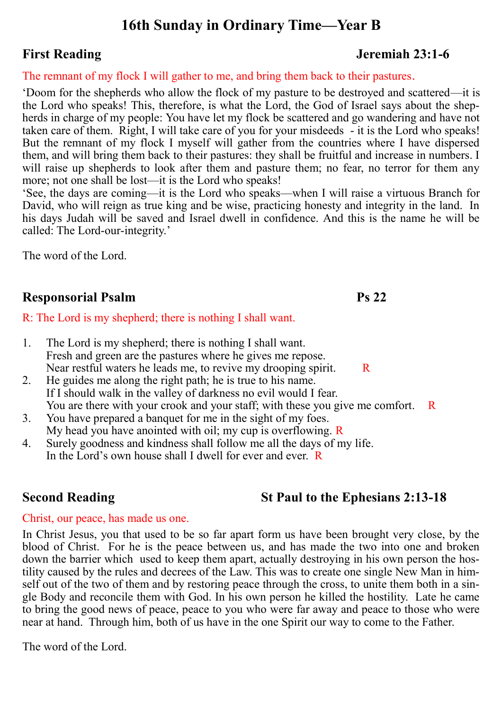# **16th Sunday in Ordinary Time—Year B**

# The remnant of my flock I will gather to me, and bring them back to their pastures.

'Doom for the shepherds who allow the flock of my pasture to be destroyed and scattered—it is the Lord who speaks! This, therefore, is what the Lord, the God of Israel says about the shepherds in charge of my people: You have let my flock be scattered and go wandering and have not taken care of them. Right, I will take care of you for your misdeeds - it is the Lord who speaks! But the remnant of my flock I myself will gather from the countries where I have dispersed them, and will bring them back to their pastures: they shall be fruitful and increase in numbers. I will raise up shepherds to look after them and pasture them; no fear, no terror for them any more; not one shall be lost—it is the Lord who speaks!

'See, the days are coming—it is the Lord who speaks—when I will raise a virtuous Branch for David, who will reign as true king and be wise, practicing honesty and integrity in the land. In his days Judah will be saved and Israel dwell in confidence. And this is the name he will be called: The Lord-our-integrity.'

The word of the Lord.

# **Responsorial Psalm Ps 22**

R: The Lord is my shepherd; there is nothing I shall want.

- 1. The Lord is my shepherd; there is nothing I shall want. Fresh and green are the pastures where he gives me repose. Near restful waters he leads me, to revive my drooping spirit. R
- 2. He guides me along the right path; he is true to his name. If I should walk in the valley of darkness no evil would I fear. You are there with your crook and your staff; with these you give me comfort. R
- 3. You have prepared a banquet for me in the sight of my foes. My head you have anointed with oil; my cup is overflowing. R
- 4. Surely goodness and kindness shall follow me all the days of my life. In the Lord's own house shall I dwell for ever and ever. R

# **Second Reading St Paul to the Ephesians 2:13-18**

# Christ, our peace, has made us one.

In Christ Jesus, you that used to be so far apart form us have been brought very close, by the blood of Christ. For he is the peace between us, and has made the two into one and broken down the barrier which used to keep them apart, actually destroying in his own person the hostility caused by the rules and decrees of the Law. This was to create one single New Man in himself out of the two of them and by restoring peace through the cross, to unite them both in a single Body and reconcile them with God. In his own person he killed the hostility. Late he came to bring the good news of peace, peace to you who were far away and peace to those who were near at hand. Through him, both of us have in the one Spirit our way to come to the Father.

The word of the Lord.

# **First Reading Jeremiah 23:1-6**